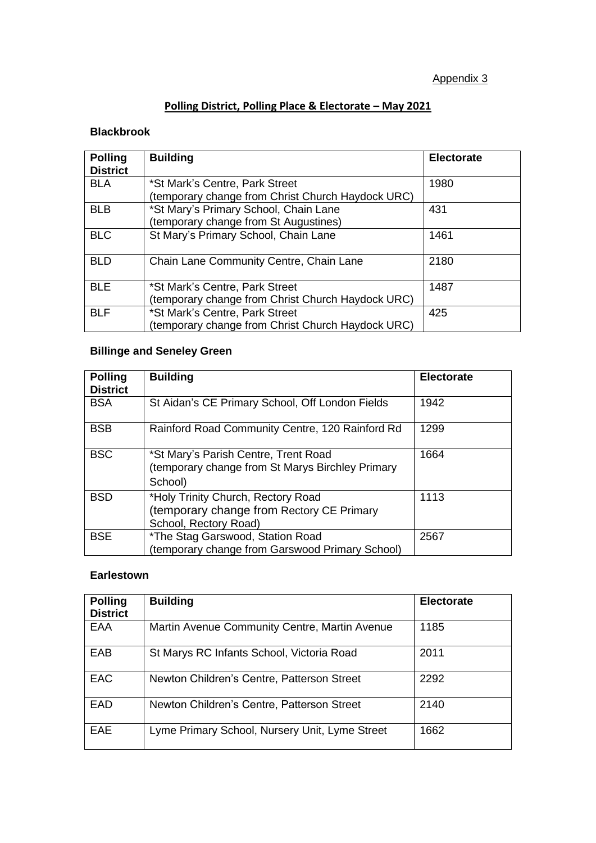# **Polling District, Polling Place & Electorate - May 2021**

### **Blackbrook**

| <b>Polling</b><br><b>District</b> | <b>Building</b>                                                                                                                     | <b>Electorate</b> |
|-----------------------------------|-------------------------------------------------------------------------------------------------------------------------------------|-------------------|
| <b>BLA</b>                        | *St Mark's Centre, Park Street                                                                                                      | 1980              |
| <b>BLB</b>                        | (temporary change from Christ Church Haydock URC)<br>*St Mary's Primary School, Chain Lane<br>(temporary change from St Augustines) | 431               |
| <b>BLC</b>                        | St Mary's Primary School, Chain Lane                                                                                                | 1461              |
| <b>BLD</b>                        | Chain Lane Community Centre, Chain Lane                                                                                             | 2180              |
| <b>BLE</b>                        | *St Mark's Centre, Park Street<br>(temporary change from Christ Church Haydock URC)                                                 | 1487              |
| <b>BLF</b>                        | *St Mark's Centre, Park Street<br>(temporary change from Christ Church Haydock URC)                                                 | 425               |

# **Billinge and Seneley Green**

| <b>Polling</b><br><b>District</b> | <b>Building</b>                                                                                          | <b>Electorate</b> |
|-----------------------------------|----------------------------------------------------------------------------------------------------------|-------------------|
| <b>BSA</b>                        | St Aidan's CE Primary School, Off London Fields                                                          | 1942              |
| <b>BSB</b>                        | Rainford Road Community Centre, 120 Rainford Rd                                                          | 1299              |
| <b>BSC</b>                        | *St Mary's Parish Centre, Trent Road<br>(temporary change from St Marys Birchley Primary<br>School)      | 1664              |
| <b>BSD</b>                        | *Holy Trinity Church, Rectory Road<br>(temporary change from Rectory CE Primary<br>School, Rectory Road) | 1113              |
| <b>BSE</b>                        | *The Stag Garswood, Station Road<br>(temporary change from Garswood Primary School)                      | 2567              |

#### **Earlestown**

| <b>Polling</b><br><b>District</b> | <b>Building</b>                                | <b>Electorate</b> |
|-----------------------------------|------------------------------------------------|-------------------|
| EAA                               | Martin Avenue Community Centre, Martin Avenue  | 1185              |
| EAB                               | St Marys RC Infants School, Victoria Road      | 2011              |
| <b>EAC</b>                        | Newton Children's Centre, Patterson Street     | 2292              |
| EAD                               | Newton Children's Centre, Patterson Street     | 2140              |
| <b>EAE</b>                        | Lyme Primary School, Nursery Unit, Lyme Street | 1662              |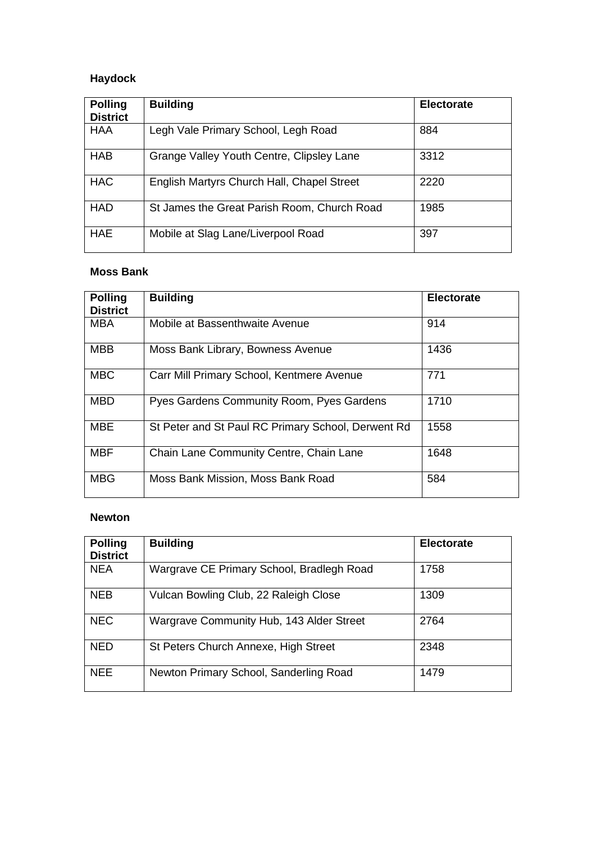# **Haydock**

| <b>Polling</b><br><b>District</b> | <b>Building</b>                             | <b>Electorate</b> |
|-----------------------------------|---------------------------------------------|-------------------|
| <b>HAA</b>                        | Legh Vale Primary School, Legh Road         | 884               |
| <b>HAB</b>                        | Grange Valley Youth Centre, Clipsley Lane   | 3312              |
| <b>HAC</b>                        | English Martyrs Church Hall, Chapel Street  | 2220              |
| <b>HAD</b>                        | St James the Great Parish Room, Church Road | 1985              |
| <b>HAE</b>                        | Mobile at Slag Lane/Liverpool Road          | 397               |

#### **Moss Bank**

| <b>Polling</b><br><b>District</b> | <b>Building</b>                                    | <b>Electorate</b> |
|-----------------------------------|----------------------------------------------------|-------------------|
| <b>MBA</b>                        | Mobile at Bassenthwaite Avenue                     | 914               |
| <b>MBB</b>                        | Moss Bank Library, Bowness Avenue                  | 1436              |
| <b>MBC</b>                        | Carr Mill Primary School, Kentmere Avenue          | 771               |
| <b>MBD</b>                        | Pyes Gardens Community Room, Pyes Gardens          | 1710              |
| <b>MBE</b>                        | St Peter and St Paul RC Primary School, Derwent Rd | 1558              |
| <b>MBF</b>                        | Chain Lane Community Centre, Chain Lane            | 1648              |
| <b>MBG</b>                        | Moss Bank Mission, Moss Bank Road                  | 584               |

#### **Newton**

| <b>Polling</b><br><b>District</b> | <b>Building</b>                           | <b>Electorate</b> |
|-----------------------------------|-------------------------------------------|-------------------|
| <b>NEA</b>                        | Wargrave CE Primary School, Bradlegh Road | 1758              |
| <b>NEB</b>                        | Vulcan Bowling Club, 22 Raleigh Close     | 1309              |
| <b>NEC</b>                        | Wargrave Community Hub, 143 Alder Street  | 2764              |
| <b>NED</b>                        | St Peters Church Annexe, High Street      | 2348              |
| <b>NEE</b>                        | Newton Primary School, Sanderling Road    | 1479              |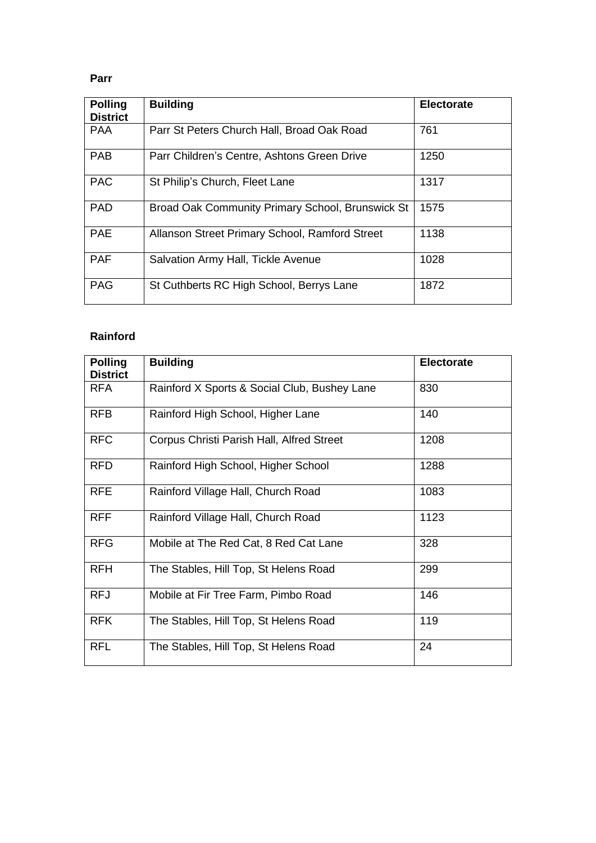#### **Parr**

| <b>Polling</b><br><b>District</b> | <b>Building</b>                                  | <b>Electorate</b> |
|-----------------------------------|--------------------------------------------------|-------------------|
| <b>PAA</b>                        | Parr St Peters Church Hall, Broad Oak Road       | 761               |
| <b>PAB</b>                        | Parr Children's Centre, Ashtons Green Drive      | 1250              |
| <b>PAC</b>                        | St Philip's Church, Fleet Lane                   | 1317              |
| <b>PAD</b>                        | Broad Oak Community Primary School, Brunswick St | 1575              |
| <b>PAE</b>                        | Allanson Street Primary School, Ramford Street   | 1138              |
| <b>PAF</b>                        | Salvation Army Hall, Tickle Avenue               | 1028              |
| <b>PAG</b>                        | St Cuthberts RC High School, Berrys Lane         | 1872              |

# **Rainford**

| <b>Polling</b><br><b>District</b> | <b>Building</b>                              | <b>Electorate</b> |
|-----------------------------------|----------------------------------------------|-------------------|
| <b>RFA</b>                        | Rainford X Sports & Social Club, Bushey Lane | 830               |
| <b>RFB</b>                        | Rainford High School, Higher Lane            | 140               |
| <b>RFC</b>                        | Corpus Christi Parish Hall, Alfred Street    | 1208              |
| <b>RFD</b>                        | Rainford High School, Higher School          | 1288              |
| <b>RFE</b>                        | Rainford Village Hall, Church Road           | 1083              |
| <b>RFF</b>                        | Rainford Village Hall, Church Road           | 1123              |
| <b>RFG</b>                        | Mobile at The Red Cat, 8 Red Cat Lane        | 328               |
| <b>RFH</b>                        | The Stables, Hill Top, St Helens Road        | 299               |
| <b>RFJ</b>                        | Mobile at Fir Tree Farm, Pimbo Road          | 146               |
| <b>RFK</b>                        | The Stables, Hill Top, St Helens Road        | 119               |
| <b>RFL</b>                        | The Stables, Hill Top, St Helens Road        | 24                |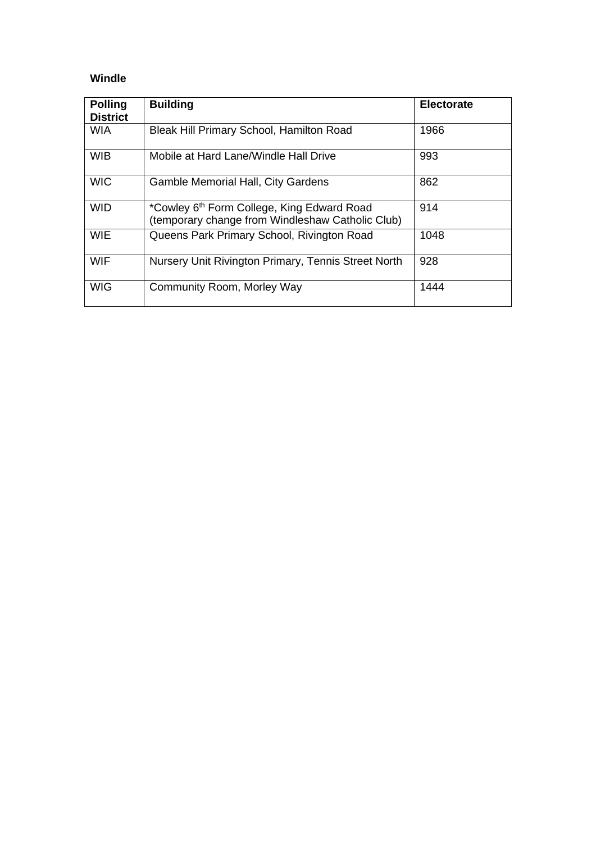## **Windle**

| <b>Polling</b><br><b>District</b> | <b>Building</b>                                                                                            | <b>Electorate</b> |
|-----------------------------------|------------------------------------------------------------------------------------------------------------|-------------------|
| <b>WIA</b>                        | Bleak Hill Primary School, Hamilton Road                                                                   | 1966              |
| <b>WIB</b>                        | Mobile at Hard Lane/Windle Hall Drive                                                                      | 993               |
| <b>WIC</b>                        | <b>Gamble Memorial Hall, City Gardens</b>                                                                  | 862               |
| <b>WID</b>                        | *Cowley 6 <sup>th</sup> Form College, King Edward Road<br>(temporary change from Windleshaw Catholic Club) | 914               |
| <b>WIE</b>                        | Queens Park Primary School, Rivington Road                                                                 | 1048              |
| <b>WIF</b>                        | Nursery Unit Rivington Primary, Tennis Street North                                                        | 928               |
| <b>WIG</b>                        | Community Room, Morley Way                                                                                 | 1444              |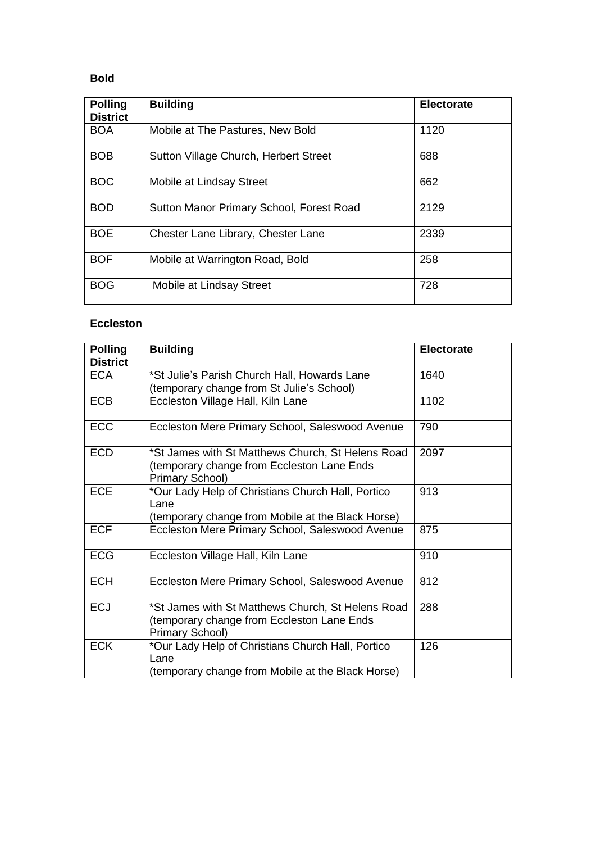## **Bold**

| <b>Polling</b><br><b>District</b> | <b>Building</b>                          | <b>Electorate</b> |
|-----------------------------------|------------------------------------------|-------------------|
| <b>BOA</b>                        | Mobile at The Pastures, New Bold         | 1120              |
| <b>BOB</b>                        | Sutton Village Church, Herbert Street    | 688               |
| <b>BOC</b>                        | Mobile at Lindsay Street                 | 662               |
| <b>BOD</b>                        | Sutton Manor Primary School, Forest Road | 2129              |
| <b>BOE</b>                        | Chester Lane Library, Chester Lane       | 2339              |
| <b>BOF</b>                        | Mobile at Warrington Road, Bold          | 258               |
| <b>BOG</b>                        | Mobile at Lindsay Street                 | 728               |

### **Eccleston**

| <b>Polling</b><br><b>District</b> | <b>Building</b>                                                                                                    | <b>Electorate</b> |
|-----------------------------------|--------------------------------------------------------------------------------------------------------------------|-------------------|
| <b>ECA</b>                        | *St Julie's Parish Church Hall, Howards Lane<br>(temporary change from St Julie's School)                          | 1640              |
| <b>ECB</b>                        | Eccleston Village Hall, Kiln Lane                                                                                  | 1102              |
| <b>ECC</b>                        | Eccleston Mere Primary School, Saleswood Avenue                                                                    | 790               |
| <b>ECD</b>                        | *St James with St Matthews Church, St Helens Road<br>(temporary change from Eccleston Lane Ends<br>Primary School) | 2097              |
| <b>ECE</b>                        | *Our Lady Help of Christians Church Hall, Portico<br>Lane<br>(temporary change from Mobile at the Black Horse)     | 913               |
| <b>ECF</b>                        | Eccleston Mere Primary School, Saleswood Avenue                                                                    | 875               |
| <b>ECG</b>                        | Eccleston Village Hall, Kiln Lane                                                                                  | 910               |
| <b>ECH</b>                        | Eccleston Mere Primary School, Saleswood Avenue                                                                    | 812               |
| <b>ECJ</b>                        | *St James with St Matthews Church, St Helens Road<br>(temporary change from Eccleston Lane Ends<br>Primary School) | 288               |
| <b>ECK</b>                        | *Our Lady Help of Christians Church Hall, Portico<br>Lane<br>(temporary change from Mobile at the Black Horse)     | 126               |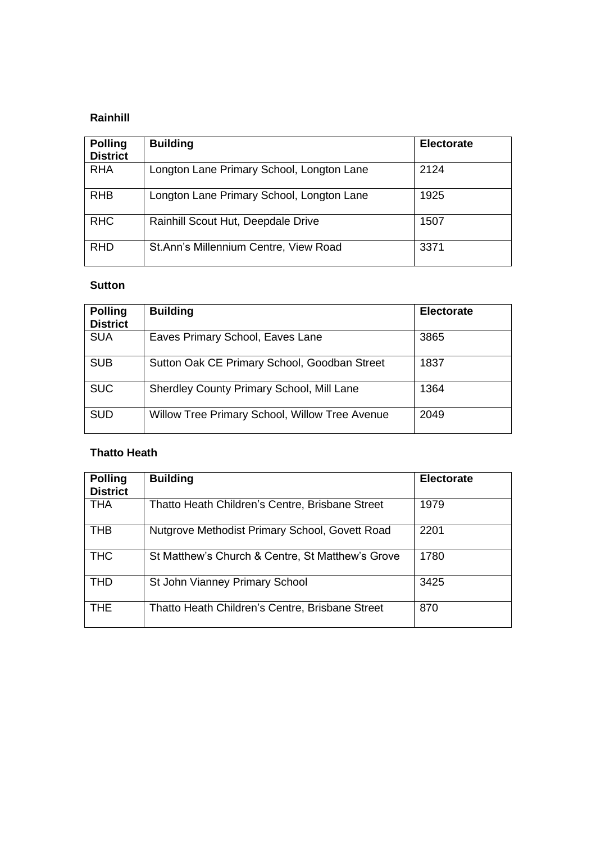### **Rainhill**

| <b>Polling</b><br><b>District</b> | <b>Building</b>                           | <b>Electorate</b> |
|-----------------------------------|-------------------------------------------|-------------------|
| <b>RHA</b>                        | Longton Lane Primary School, Longton Lane | 2124              |
| <b>RHB</b>                        | Longton Lane Primary School, Longton Lane | 1925              |
| <b>RHC</b>                        | Rainhill Scout Hut, Deepdale Drive        | 1507              |
| <b>RHD</b>                        | St.Ann's Millennium Centre, View Road     | 3371              |

#### **Sutton**

| <b>Polling</b><br><b>District</b> | <b>Building</b>                                | <b>Electorate</b> |
|-----------------------------------|------------------------------------------------|-------------------|
| <b>SUA</b>                        | Eaves Primary School, Eaves Lane               | 3865              |
| <b>SUB</b>                        | Sutton Oak CE Primary School, Goodban Street   | 1837              |
| <b>SUC</b>                        | Sherdley County Primary School, Mill Lane      | 1364              |
| <b>SUD</b>                        | Willow Tree Primary School, Willow Tree Avenue | 2049              |

#### **Thatto Heath**

| <b>Polling</b><br><b>District</b> | <b>Building</b>                                  | <b>Electorate</b> |
|-----------------------------------|--------------------------------------------------|-------------------|
| <b>THA</b>                        | Thatto Heath Children's Centre, Brisbane Street  | 1979              |
| <b>THB</b>                        | Nutgrove Methodist Primary School, Govett Road   | 2201              |
| <b>THC</b>                        | St Matthew's Church & Centre, St Matthew's Grove | 1780              |
| <b>THD</b>                        | St John Vianney Primary School                   | 3425              |
| <b>THE</b>                        | Thatto Heath Children's Centre, Brisbane Street  | 870               |